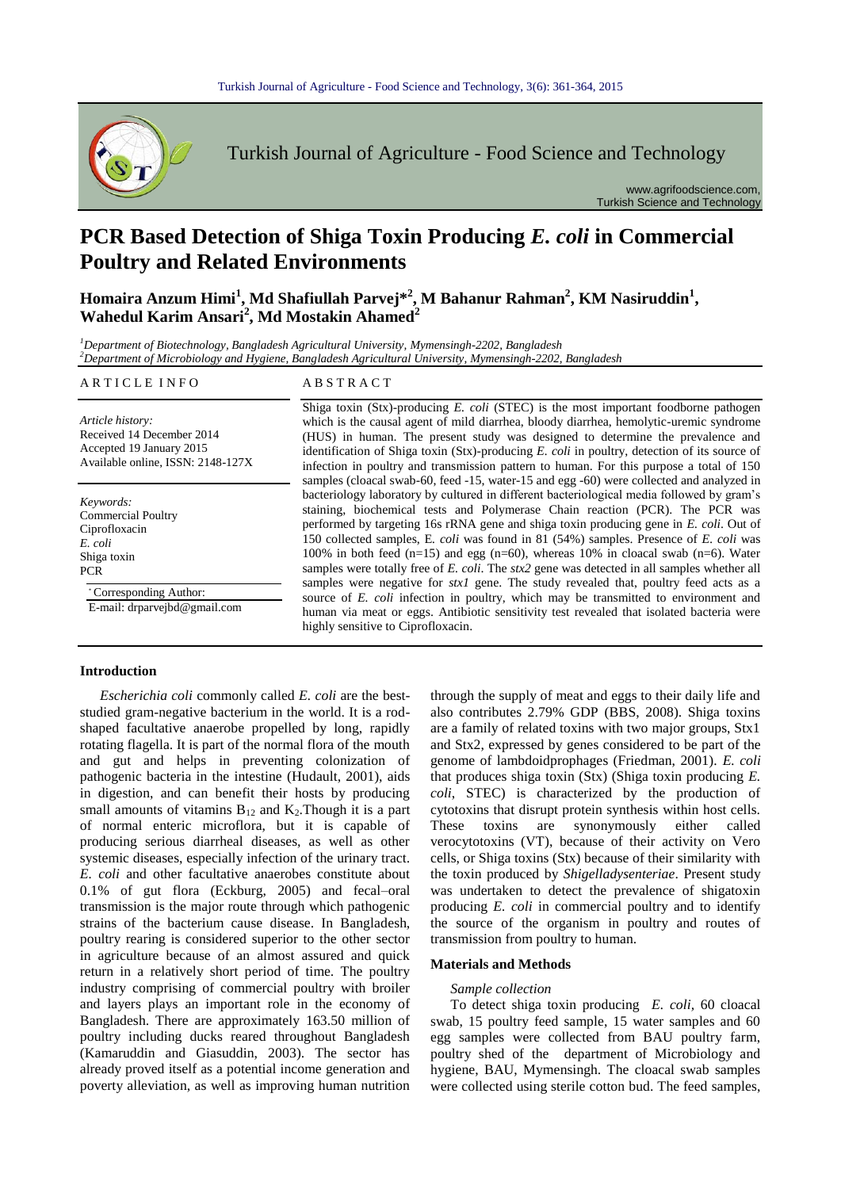

Turkish Journal of Agriculture - Food Science and Technology

www.agrifoodscience.com, Turkish Science and Technology

# **PCR Based Detection of Shiga Toxin Producing** *E. coli* **in Commercial Poultry and Related Environments**

**Homaira Anzum Himi<sup>1</sup> , Md Shafiullah Parvej\*<sup>2</sup> , M Bahanur Rahman<sup>2</sup> , KM Nasiruddin<sup>1</sup> , Wahedul Karim Ansari<sup>2</sup> , Md Mostakin Ahamed<sup>2</sup>**

*<sup>1</sup>Department of Biotechnology, Bangladesh Agricultural University, Mymensingh-2202, Bangladesh <sup>2</sup>Department of Microbiology and Hygiene, Bangladesh Agricultural University, Mymensingh-2202, Bangladesh*

### ARTICLE INFO ABSTRACT

*Article history:* Received 14 December 2014 Accepted 19 January 2015 Available online, ISSN: 2148-127X

*Keywords:* Commercial Poultry Ciprofloxacin *E. coli* Shiga toxin PCR

\* Corresponding Author:

E-mail: drparvejbd@gmail.com

which is the causal agent of mild diarrhea, bloody diarrhea, hemolytic-uremic syndrome (HUS) in human. The present study was designed to determine the prevalence and identification of Shiga toxin (Stx)-producing *E. coli* in poultry, detection of its source of infection in poultry and transmission pattern to human. For this purpose a total of 150 samples (cloacal swab-60, feed -15, water-15 and egg -60) were collected and analyzed in bacteriology laboratory by cultured in different bacteriological media followed by gram's staining, biochemical tests and Polymerase Chain reaction (PCR). The PCR was performed by targeting 16s rRNA gene and shiga toxin producing gene in *E. coli*. Out of 150 collected samples, E*. coli* was found in 81 (54%) samples. Presence of *E. coli* was 100% in both feed  $(n=15)$  and egg  $(n=60)$ , whereas 10% in cloacal swab  $(n=6)$ . Water samples were totally free of *E. coli*. The *stx2* gene was detected in all samples whether all samples were negative for *stx1* gene. The study revealed that, poultry feed acts as a source of *E. coli* infection in poultry, which may be transmitted to environment and human via meat or eggs. Antibiotic sensitivity test revealed that isolated bacteria were highly sensitive to Ciprofloxacin.

Shiga toxin (Stx)-producing *E. coli* (STEC) is the most important foodborne pathogen

#### **Introduction** ntroductio

*Escherichia coli* commonly called *E. coli* are the beststudied gram-negative bacterium in the world. It is a rodshaped facultative anaerobe propelled by long, rapidly rotating flagella. It is part of the normal flora of the mouth and gut and helps in preventing colonization of pathogenic bacteria in the intestine (Hudault, 2001), aids in digestion, and can benefit their hosts by producing small amounts of vitamins  $B_{12}$  and  $K_2$ . Though it is a part of normal enteric microflora, but it is capable of producing serious diarrheal diseases, as well as other systemic diseases, especially infection of the urinary tract. *E. coli* and other facultative anaerobes constitute about 0.1% of gut flora (Eckburg, 2005) and fecal–oral transmission is the major route through which pathogenic strains of the bacterium cause disease. In Bangladesh, poultry rearing is considered superior to the other sector in agriculture because of an almost assured and quick return in a relatively short period of time. The poultry industry comprising of commercial poultry with broiler and layers plays an important role in the economy of Bangladesh. There are approximately 163.50 million of poultry including ducks reared throughout Bangladesh (Kamaruddin and Giasuddin, 2003). The sector has already proved itself as a potential income generation and poverty alleviation, as well as improving human nutrition Escherichia coli co

through the supply of meat and eggs to their daily life and also contributes 2.79% GDP (BBS, 2008). Shiga toxins are a family of related toxins with two major groups, Stx1 and Stx2, expressed by genes considered to be part of the genome of lambdoidprophages (Friedman, 2001). *E. coli* that produces shiga toxin (Stx) (Shiga toxin producing *E. coli*, STEC) is characterized by the production of cytotoxins that disrupt protein synthesis within host cells. These toxins are synonymously either called verocytotoxins (VT), because of their activity on Vero cells, or Shiga toxins (Stx) because of their similarity with the toxin produced by *Shigelladysenteriae*. Present study was undertaken to detect the prevalence of shigatoxin producing *E. coli* in commercial poultry and to identify the source of the organism in poultry and routes of transmission from poultry to human.

### **Materials and Methods**

#### *Sample collection*

To detect shiga toxin producing *E. coli,* 60 cloacal swab, 15 poultry feed sample, 15 water samples and 60 egg samples were collected from BAU poultry farm, poultry shed of the department of Microbiology and hygiene, BAU, Mymensingh. The cloacal swab samples were collected using sterile cotton bud. The feed samples,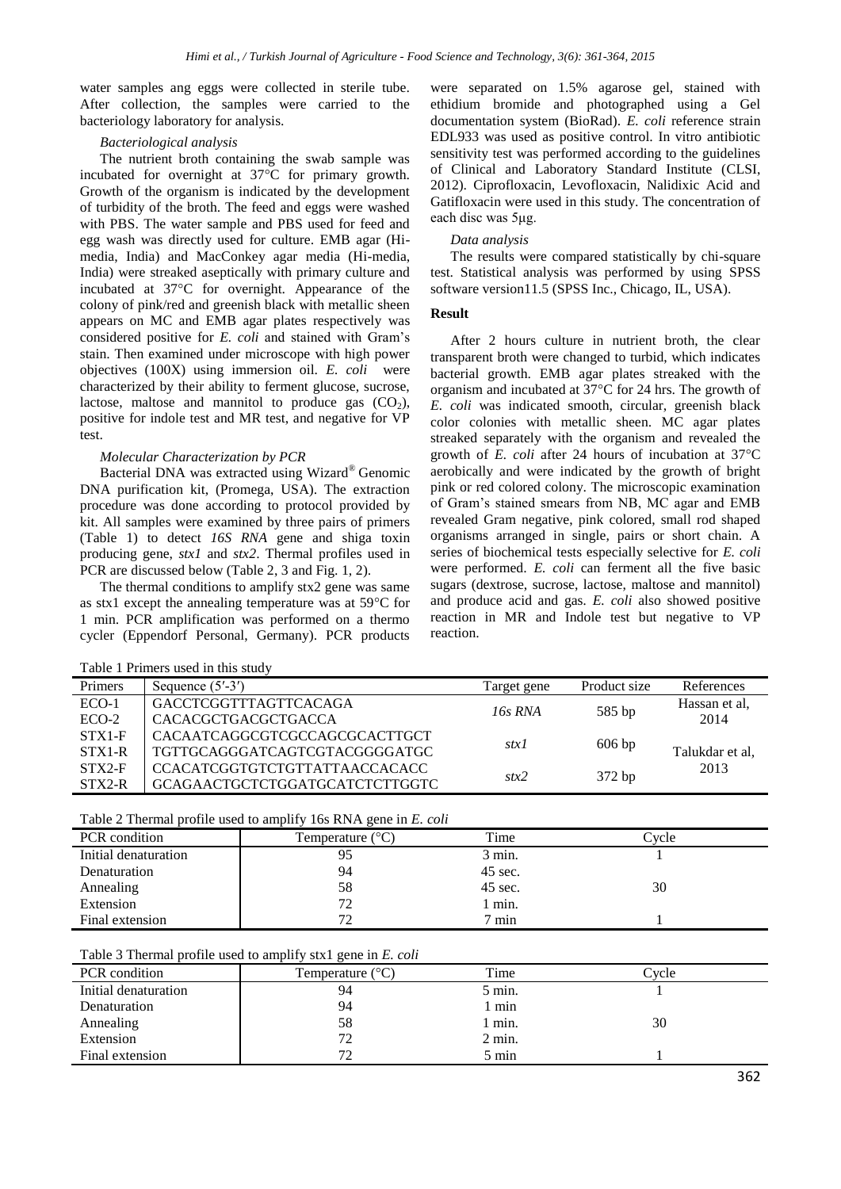water samples ang eggs were collected in sterile tube. After collection, the samples were carried to the bacteriology laboratory for analysis.

#### *Bacteriological analysis*

The nutrient broth containing the swab sample was incubated for overnight at 37°C for primary growth. Growth of the organism is indicated by the development of turbidity of the broth. The feed and eggs were washed with PBS. The water sample and PBS used for feed and egg wash was directly used for culture. EMB agar (Himedia, India) and MacConkey agar media (Hi-media, India) were streaked aseptically with primary culture and incubated at 37°C for overnight. Appearance of the colony of pink/red and greenish black with metallic sheen appears on MC and EMB agar plates respectively was considered positive for *E. coli* and stained with Gram's stain. Then examined under microscope with high power objectives (100X) using immersion oil. *E. coli* were characterized by their ability to ferment glucose, sucrose, lactose, maltose and mannitol to produce gas  $(CO<sub>2</sub>)$ , positive for indole test and MR test, and negative for VP test.

#### *Molecular Characterization by PCR*

Bacterial DNA was extracted using Wizard® Genomic DNA purification kit, (Promega, USA). The extraction procedure was done according to protocol provided by kit. All samples were examined by three pairs of primers (Table 1) to detect *16S RNA* gene and shiga toxin producing gene, *stx1* and *stx2*. Thermal profiles used in PCR are discussed below (Table 2, 3 and Fig. 1, 2).

The thermal conditions to amplify stx2 gene was same as stx1 except the annealing temperature was at 59°C for 1 min. PCR amplification was performed on a thermo cycler (Eppendorf Personal, Germany). PCR products

Table 1 Primers used in this study

were separated on 1.5% agarose gel, stained with ethidium bromide and photographed using a Gel documentation system (BioRad). *E. coli* reference strain EDL933 was used as positive control. In vitro antibiotic sensitivity test was performed according to the guidelines of Clinical and Laboratory Standard Institute (CLSI, 2012). Ciprofloxacin, Levofloxacin, Nalidixic Acid and Gatifloxacin were used in this study. The concentration of each disc was 5μg.

#### *Data analysis*

The results were compared statistically by chi-square test. Statistical analysis was performed by using SPSS software version11.5 (SPSS Inc., Chicago, IL, USA).

#### **Result**

After 2 hours culture in nutrient broth, the clear transparent broth were changed to turbid, which indicates bacterial growth. EMB agar plates streaked with the organism and incubated at 37°C for 24 hrs. The growth of *E. coli* was indicated smooth, circular, greenish black color colonies with metallic sheen. MC agar plates streaked separately with the organism and revealed the growth of *E. coli* after 24 hours of incubation at 37°C aerobically and were indicated by the growth of bright pink or red colored colony. The microscopic examination of Gram's stained smears from NB, MC agar and EMB revealed Gram negative, pink colored, small rod shaped organisms arranged in single, pairs or short chain. A series of biochemical tests especially selective for *E. coli* were performed. *E. coli* can ferment all the five basic sugars (dextrose, sucrose, lactose, maltose and mannitol) and produce acid and gas*. E. coli* also showed positive reaction in MR and Indole test but negative to VP reaction.

| <b>Primers</b> | Sequence $(5'$ -3')                  | Target gene      | Product size | References      |  |
|----------------|--------------------------------------|------------------|--------------|-----------------|--|
| $ECO-1$        | <b>GACCTCGGTTTAGTTCACAGA</b>         | $16s$ RNA        | 585 bp       | Hassan et al.   |  |
| $ECO-2$        | <b>CACACGCTGACGCTGACCA</b>           |                  |              | 2014            |  |
| $STX1-F$       | CACAATCAGGCGTCGCCAGCGCACTTGCT        |                  |              |                 |  |
| $STX1-R$       | TGTTGCAGGGATCAGTCGTACGGGGATGC        | $606$ bp<br>stx1 |              | Talukdar et al, |  |
| $STX2-F$       | <b>CCACATCGGTGTCTGTTATTAACCACACC</b> | stx2             | 372 bp       | 2013            |  |
| $STX2-R$       | GCAGAACTGCTCTGGATGCATCTCTTGGTC       |                  |              |                 |  |

Table 2 Thermal profile used to amplify 16s RNA gene in *E. coli*

| <b>PCR</b> condition | Temperature $(^{\circ}C)$ | Time    | Cvcle |
|----------------------|---------------------------|---------|-------|
| Initial denaturation | 95                        | 3 min.  |       |
| Denaturation         | 94                        | 45 sec. |       |
| Annealing            | 58                        | 45 sec. | 30    |
| Extension            | 72                        | min.    |       |
| Final extension      | 72                        | min     |       |

Table 3 Thermal profile used to amplify stx1 gene in *E. coli*

| <b>PCR</b> condition | Temperature $(^{\circ}C)$ | Time             | ∑vcle |
|----------------------|---------------------------|------------------|-------|
| Initial denaturation | 94                        | 5 min.           |       |
| Denaturation         | 94                        | min              |       |
| Annealing            | 58                        | 1 min.           | 30    |
| Extension            |                           | $2 \text{ min.}$ |       |
| Final extension      | $72^{\circ}$              | 5 min            |       |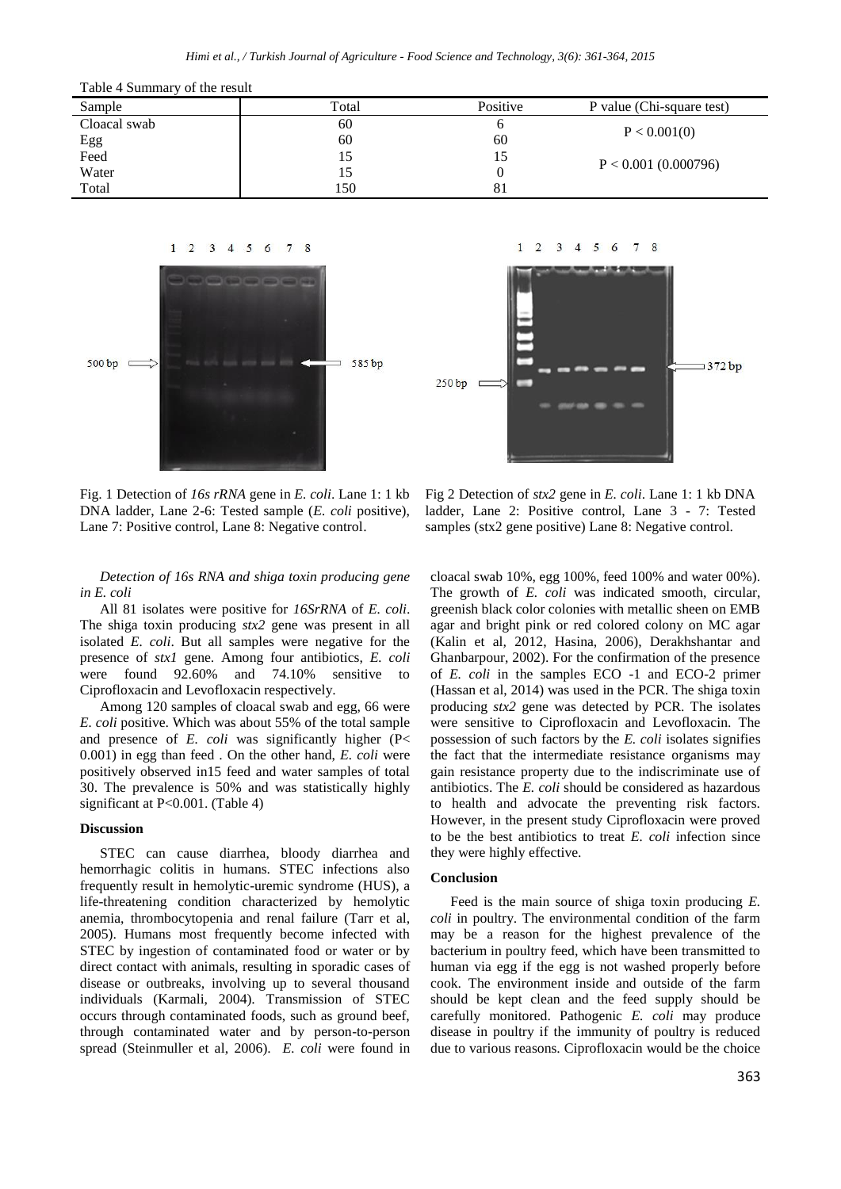| Table 4 Summary of the result |       |          |                           |  |  |  |
|-------------------------------|-------|----------|---------------------------|--|--|--|
| Sample                        | Total | Positive | P value (Chi-square test) |  |  |  |
| Cloacal swab                  | 60    | n        | P < 0.001(0)              |  |  |  |
| Egg                           | 60    | 60       |                           |  |  |  |
| Feed                          | 15    | 15       | $P < 0.001$ (0.000796)    |  |  |  |
| Water                         | L5    |          |                           |  |  |  |
| Total                         | 150   | 81       |                           |  |  |  |



 $1 \t2 \t3 \t4 \t5 \t6$  $7^{\circ}$ 8 372 bp  $250<sub>bp</sub>$ 

Fig. 1 Detection of *16s rRNA* gene in *E. coli*. Lane 1: 1 kb DNA ladder, Lane 2-6: Tested sample (*E. coli* positive), Lane 7: Positive control, Lane 8: Negative control.

Fig 2 Detection of *stx2* gene in *E. coli*. Lane 1: 1 kb DNA ladder, Lane 2: Positive control, Lane 3 - 7: Tested samples (stx2 gene positive) Lane 8: Negative control.

## *Detection of 16s RNA and shiga toxin producing gene in E. coli*

All 81 isolates were positive for *16SrRNA* of *E. coli*. The shiga toxin producing *stx2* gene was present in all isolated *E. coli*. But all samples were negative for the presence of *stx1* gene. Among four antibiotics, *E. coli*  were found 92.60% and 74.10% sensitive to Ciprofloxacin and Levofloxacin respectively.

Among 120 samples of cloacal swab and egg, 66 were *E. coli* positive. Which was about 55% of the total sample and presence of *E. coli* was significantly higher (P< 0.001) in egg than feed . On the other hand, *E. coli* were positively observed in15 feed and water samples of total 30. The prevalence is 50% and was statistically highly significant at P<0.001. (Table 4)

#### **Discussion**

STEC can cause diarrhea, bloody diarrhea and hemorrhagic colitis in humans. STEC infections also frequently result in hemolytic-uremic syndrome (HUS), a life-threatening condition characterized by hemolytic anemia, thrombocytopenia and renal failure (Tarr et al, 2005). Humans most frequently become infected with STEC by ingestion of contaminated food or water or by direct contact with animals, resulting in sporadic cases of disease or outbreaks, involving up to several thousand individuals (Karmali, 2004). Transmission of STEC occurs through contaminated foods, such as ground beef, through contaminated water and by person-to-person spread (Steinmuller et al, 2006). *E. coli* were found in cloacal swab 10%, egg 100%, feed 100% and water 00%). The growth of *E. coli* was indicated smooth, circular, greenish black color colonies with metallic sheen on EMB agar and bright pink or red colored colony on MC agar (Kalin et al*,* 2012, Hasina, 2006), Derakhshantar and Ghanbarpour, 2002). For the confirmation of the presence of *E. coli* in the samples ECO -1 and ECO-2 primer (Hassan et al, 2014) was used in the PCR. The shiga toxin producing *stx2* gene was detected by PCR. The isolates were sensitive to Ciprofloxacin and Levofloxacin. The possession of such factors by the *E. coli* isolates signifies the fact that the intermediate resistance organisms may gain resistance property due to the indiscriminate use of antibiotics. The *E. coli* should be considered as hazardous to health and advocate the preventing risk factors. However, in the present study Ciprofloxacin were proved to be the best antibiotics to treat *E. coli* infection since they were highly effective.

#### **Conclusion**

Feed is the main source of shiga toxin producing *E. coli* in poultry. The environmental condition of the farm may be a reason for the highest prevalence of the bacterium in poultry feed, which have been transmitted to human via egg if the egg is not washed properly before cook. The environment inside and outside of the farm should be kept clean and the feed supply should be carefully monitored. Pathogenic *E. coli* may produce disease in poultry if the immunity of poultry is reduced due to various reasons. Ciprofloxacin would be the choice